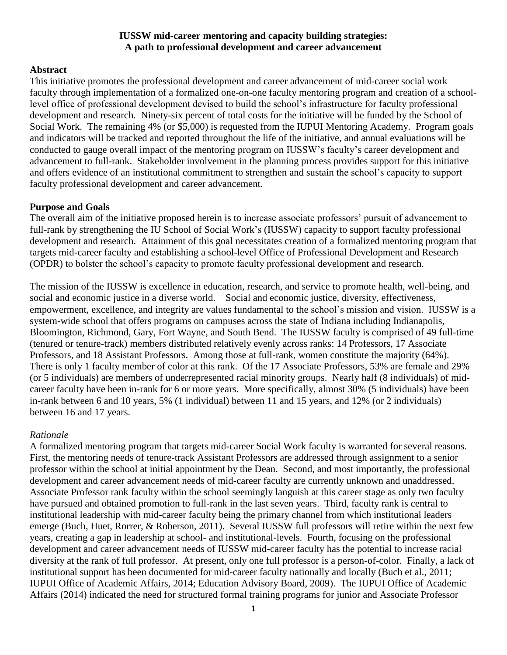### **IUSSW mid-career mentoring and capacity building strategies: A path to professional development and career advancement**

# **Abstract**

This initiative promotes the professional development and career advancement of mid-career social work faculty through implementation of a formalized one-on-one faculty mentoring program and creation of a schoollevel office of professional development devised to build the school's infrastructure for faculty professional development and research. Ninety-six percent of total costs for the initiative will be funded by the School of Social Work. The remaining 4% (or \$5,000) is requested from the IUPUI Mentoring Academy. Program goals and indicators will be tracked and reported throughout the life of the initiative, and annual evaluations will be conducted to gauge overall impact of the mentoring program on IUSSW's faculty's career development and advancement to full-rank. Stakeholder involvement in the planning process provides support for this initiative and offers evidence of an institutional commitment to strengthen and sustain the school's capacity to support faculty professional development and career advancement.

# **Purpose and Goals**

The overall aim of the initiative proposed herein is to increase associate professors' pursuit of advancement to full-rank by strengthening the IU School of Social Work's (IUSSW) capacity to support faculty professional development and research. Attainment of this goal necessitates creation of a formalized mentoring program that targets mid-career faculty and establishing a school-level Office of Professional Development and Research (OPDR) to bolster the school's capacity to promote faculty professional development and research.

The mission of the IUSSW is excellence in education, research, and service to promote health, well-being, and social and economic justice in a diverse world. Social and economic justice, diversity, effectiveness, empowerment, excellence, and integrity are values fundamental to the school's mission and vision. IUSSW is a system-wide school that offers programs on campuses across the state of Indiana including Indianapolis, Bloomington, Richmond, Gary, Fort Wayne, and South Bend. The IUSSW faculty is comprised of 49 full-time (tenured or tenure-track) members distributed relatively evenly across ranks: 14 Professors, 17 Associate Professors, and 18 Assistant Professors. Among those at full-rank, women constitute the majority (64%). There is only 1 faculty member of color at this rank. Of the 17 Associate Professors, 53% are female and 29% (or 5 individuals) are members of underrepresented racial minority groups. Nearly half (8 individuals) of midcareer faculty have been in-rank for 6 or more years. More specifically, almost 30% (5 individuals) have been in-rank between 6 and 10 years, 5% (1 individual) between 11 and 15 years, and 12% (or 2 individuals) between 16 and 17 years.

# *Rationale*

A formalized mentoring program that targets mid-career Social Work faculty is warranted for several reasons. First, the mentoring needs of tenure-track Assistant Professors are addressed through assignment to a senior professor within the school at initial appointment by the Dean. Second, and most importantly, the professional development and career advancement needs of mid-career faculty are currently unknown and unaddressed. Associate Professor rank faculty within the school seemingly languish at this career stage as only two faculty have pursued and obtained promotion to full-rank in the last seven years. Third, faculty rank is central to institutional leadership with mid-career faculty being the primary channel from which institutional leaders emerge (Buch, Huet, Rorrer, & Roberson, 2011). Several IUSSW full professors will retire within the next few years, creating a gap in leadership at school- and institutional-levels. Fourth, focusing on the professional development and career advancement needs of IUSSW mid-career faculty has the potential to increase racial diversity at the rank of full professor. At present, only one full professor is a person-of-color. Finally, a lack of institutional support has been documented for mid-career faculty nationally and locally (Buch et al., 2011; IUPUI Office of Academic Affairs, 2014; Education Advisory Board, 2009). The IUPUI Office of Academic Affairs (2014) indicated the need for structured formal training programs for junior and Associate Professor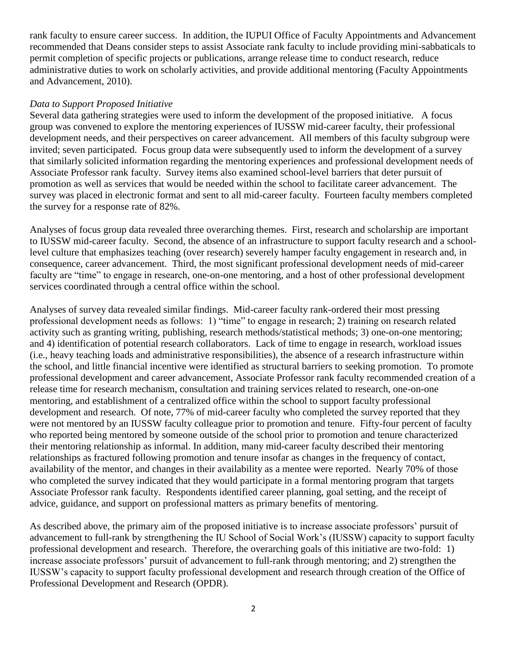rank faculty to ensure career success. In addition, the IUPUI Office of Faculty Appointments and Advancement recommended that Deans consider steps to assist Associate rank faculty to include providing mini-sabbaticals to permit completion of specific projects or publications, arrange release time to conduct research, reduce administrative duties to work on scholarly activities, and provide additional mentoring (Faculty Appointments and Advancement, 2010).

### *Data to Support Proposed Initiative*

Several data gathering strategies were used to inform the development of the proposed initiative. A focus group was convened to explore the mentoring experiences of IUSSW mid-career faculty, their professional development needs, and their perspectives on career advancement. All members of this faculty subgroup were invited; seven participated. Focus group data were subsequently used to inform the development of a survey that similarly solicited information regarding the mentoring experiences and professional development needs of Associate Professor rank faculty. Survey items also examined school-level barriers that deter pursuit of promotion as well as services that would be needed within the school to facilitate career advancement. The survey was placed in electronic format and sent to all mid-career faculty. Fourteen faculty members completed the survey for a response rate of 82%.

Analyses of focus group data revealed three overarching themes. First, research and scholarship are important to IUSSW mid-career faculty. Second, the absence of an infrastructure to support faculty research and a schoollevel culture that emphasizes teaching (over research) severely hamper faculty engagement in research and, in consequence, career advancement. Third, the most significant professional development needs of mid-career faculty are "time" to engage in research, one-on-one mentoring, and a host of other professional development services coordinated through a central office within the school.

Analyses of survey data revealed similar findings. Mid-career faculty rank-ordered their most pressing professional development needs as follows: 1) "time" to engage in research; 2) training on research related activity such as granting writing, publishing, research methods/statistical methods; 3) one-on-one mentoring; and 4) identification of potential research collaborators. Lack of time to engage in research, workload issues (i.e., heavy teaching loads and administrative responsibilities), the absence of a research infrastructure within the school, and little financial incentive were identified as structural barriers to seeking promotion. To promote professional development and career advancement, Associate Professor rank faculty recommended creation of a release time for research mechanism, consultation and training services related to research, one-on-one mentoring, and establishment of a centralized office within the school to support faculty professional development and research. Of note, 77% of mid-career faculty who completed the survey reported that they were not mentored by an IUSSW faculty colleague prior to promotion and tenure. Fifty-four percent of faculty who reported being mentored by someone outside of the school prior to promotion and tenure characterized their mentoring relationship as informal. In addition, many mid-career faculty described their mentoring relationships as fractured following promotion and tenure insofar as changes in the frequency of contact, availability of the mentor, and changes in their availability as a mentee were reported. Nearly 70% of those who completed the survey indicated that they would participate in a formal mentoring program that targets Associate Professor rank faculty. Respondents identified career planning, goal setting, and the receipt of advice, guidance, and support on professional matters as primary benefits of mentoring.

As described above, the primary aim of the proposed initiative is to increase associate professors' pursuit of advancement to full-rank by strengthening the IU School of Social Work's (IUSSW) capacity to support faculty professional development and research. Therefore, the overarching goals of this initiative are two-fold: 1) increase associate professors' pursuit of advancement to full-rank through mentoring; and 2) strengthen the IUSSW's capacity to support faculty professional development and research through creation of the Office of Professional Development and Research (OPDR).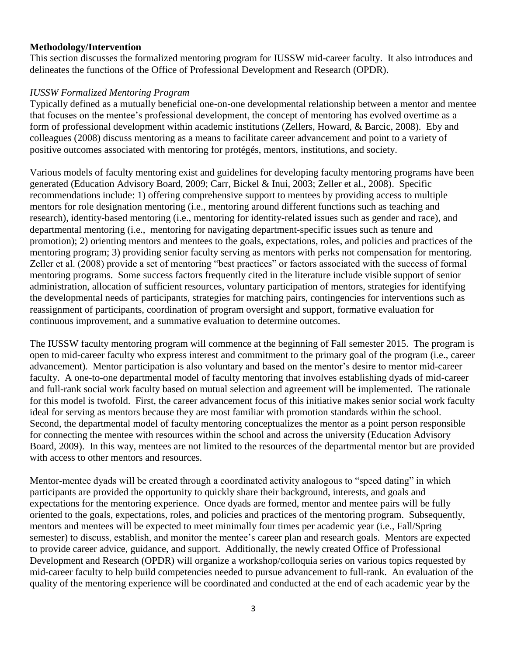### **Methodology/Intervention**

This section discusses the formalized mentoring program for IUSSW mid-career faculty. It also introduces and delineates the functions of the Office of Professional Development and Research (OPDR).

# *IUSSW Formalized Mentoring Program*

Typically defined as a mutually beneficial one-on-one developmental relationship between a mentor and mentee that focuses on the mentee's professional development, the concept of mentoring has evolved overtime as a form of professional development within academic institutions (Zellers, Howard, & Barcic, 2008). Eby and colleagues (2008) discuss mentoring as a means to facilitate career advancement and point to a variety of positive outcomes associated with mentoring for protégés, mentors, institutions, and society.

Various models of faculty mentoring exist and guidelines for developing faculty mentoring programs have been generated (Education Advisory Board, 2009; Carr, Bickel & Inui, 2003; Zeller et al., 2008). Specific recommendations include: 1) offering comprehensive support to mentees by providing access to multiple mentors for role designation mentoring (i.e., mentoring around different functions such as teaching and research), identity-based mentoring (i.e., mentoring for identity-related issues such as gender and race), and departmental mentoring (i.e., mentoring for navigating department-specific issues such as tenure and promotion); 2) orienting mentors and mentees to the goals, expectations, roles, and policies and practices of the mentoring program; 3) providing senior faculty serving as mentors with perks not compensation for mentoring. Zeller et al. (2008) provide a set of mentoring "best practices" or factors associated with the success of formal mentoring programs. Some success factors frequently cited in the literature include visible support of senior administration, allocation of sufficient resources, voluntary participation of mentors, strategies for identifying the developmental needs of participants, strategies for matching pairs, contingencies for interventions such as reassignment of participants, coordination of program oversight and support, formative evaluation for continuous improvement, and a summative evaluation to determine outcomes.

The IUSSW faculty mentoring program will commence at the beginning of Fall semester 2015. The program is open to mid-career faculty who express interest and commitment to the primary goal of the program (i.e., career advancement). Mentor participation is also voluntary and based on the mentor's desire to mentor mid-career faculty. A one-to-one departmental model of faculty mentoring that involves establishing dyads of mid-career and full-rank social work faculty based on mutual selection and agreement will be implemented. The rationale for this model is twofold. First, the career advancement focus of this initiative makes senior social work faculty ideal for serving as mentors because they are most familiar with promotion standards within the school. Second, the departmental model of faculty mentoring conceptualizes the mentor as a point person responsible for connecting the mentee with resources within the school and across the university (Education Advisory Board, 2009). In this way, mentees are not limited to the resources of the departmental mentor but are provided with access to other mentors and resources.

Mentor-mentee dyads will be created through a coordinated activity analogous to "speed dating" in which participants are provided the opportunity to quickly share their background, interests, and goals and expectations for the mentoring experience. Once dyads are formed, mentor and mentee pairs will be fully oriented to the goals, expectations, roles, and policies and practices of the mentoring program. Subsequently, mentors and mentees will be expected to meet minimally four times per academic year (i.e., Fall/Spring semester) to discuss, establish, and monitor the mentee's career plan and research goals. Mentors are expected to provide career advice, guidance, and support. Additionally, the newly created Office of Professional Development and Research (OPDR) will organize a workshop/colloquia series on various topics requested by mid-career faculty to help build competencies needed to pursue advancement to full-rank. An evaluation of the quality of the mentoring experience will be coordinated and conducted at the end of each academic year by the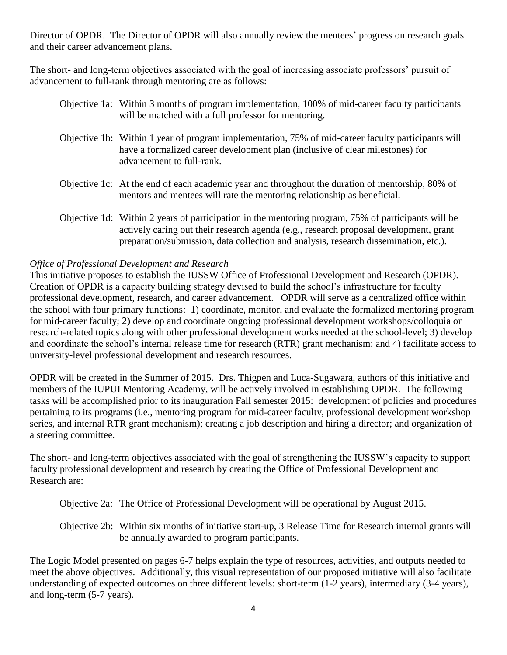Director of OPDR. The Director of OPDR will also annually review the mentees' progress on research goals and their career advancement plans.

The short- and long-term objectives associated with the goal of increasing associate professors' pursuit of advancement to full-rank through mentoring are as follows:

- Objective 1a: Within 3 months of program implementation, 100% of mid-career faculty participants will be matched with a full professor for mentoring.
- Objective 1b: Within 1 *y*ear of program implementation, 75% of mid-career faculty participants will have a formalized career development plan (inclusive of clear milestones) for advancement to full-rank.
- Objective 1c: At the end of each academic year and throughout the duration of mentorship, 80% of mentors and mentees will rate the mentoring relationship as beneficial.
- Objective 1d: Within 2 years of participation in the mentoring program, 75% of participants will be actively caring out their research agenda (e.g., research proposal development, grant preparation/submission, data collection and analysis, research dissemination, etc.).

# *Office of Professional Development and Research*

This initiative proposes to establish the IUSSW Office of Professional Development and Research (OPDR). Creation of OPDR is a capacity building strategy devised to build the school's infrastructure for faculty professional development, research, and career advancement. OPDR will serve as a centralized office within the school with four primary functions: 1) coordinate, monitor, and evaluate the formalized mentoring program for mid-career faculty; 2) develop and coordinate ongoing professional development workshops/colloquia on research-related topics along with other professional development works needed at the school-level; 3) develop and coordinate the school's internal release time for research (RTR) grant mechanism; and 4) facilitate access to university-level professional development and research resources.

OPDR will be created in the Summer of 2015. Drs. Thigpen and Luca-Sugawara, authors of this initiative and members of the IUPUI Mentoring Academy, will be actively involved in establishing OPDR. The following tasks will be accomplished prior to its inauguration Fall semester 2015: development of policies and procedures pertaining to its programs (i.e., mentoring program for mid-career faculty, professional development workshop series, and internal RTR grant mechanism); creating a job description and hiring a director; and organization of a steering committee.

The short- and long-term objectives associated with the goal of strengthening the IUSSW's capacity to support faculty professional development and research by creating the Office of Professional Development and Research are:

Objective 2a: The Office of Professional Development will be operational by August 2015.

Objective 2b: Within six months of initiative start-up, 3 Release Time for Research internal grants will be annually awarded to program participants.

The Logic Model presented on pages 6-7 helps explain the type of resources, activities, and outputs needed to meet the above objectives. Additionally, this visual representation of our proposed initiative will also facilitate understanding of expected outcomes on three different levels: short-term (1-2 years), intermediary (3-4 years), and long-term (5-7 years).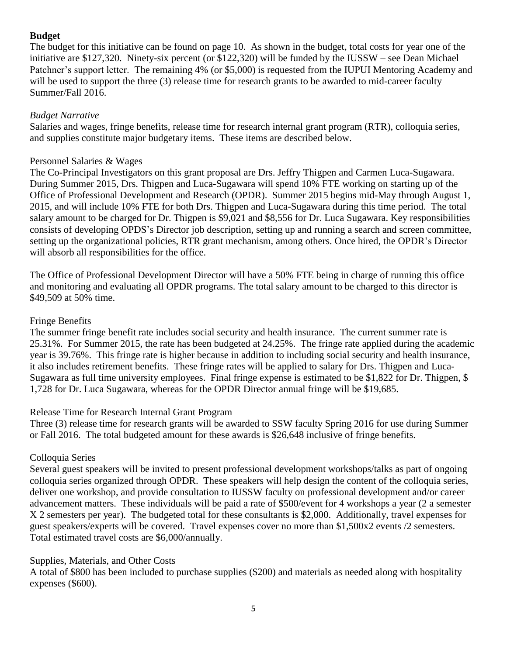# **Budget**

The budget for this initiative can be found on page 10. As shown in the budget, total costs for year one of the initiative are \$127,320. Ninety-six percent (or \$122,320) will be funded by the IUSSW – see Dean Michael Patchner's support letter. The remaining 4% (or \$5,000) is requested from the IUPUI Mentoring Academy and will be used to support the three (3) release time for research grants to be awarded to mid-career faculty Summer/Fall 2016.

# *Budget Narrative*

Salaries and wages, fringe benefits, release time for research internal grant program (RTR), colloquia series, and supplies constitute major budgetary items. These items are described below.

# Personnel Salaries & Wages

The Co-Principal Investigators on this grant proposal are Drs. Jeffry Thigpen and Carmen Luca-Sugawara. During Summer 2015, Drs. Thigpen and Luca-Sugawara will spend 10% FTE working on starting up of the Office of Professional Development and Research (OPDR). Summer 2015 begins mid-May through August 1, 2015, and will include 10% FTE for both Drs. Thigpen and Luca-Sugawara during this time period. The total salary amount to be charged for Dr. Thigpen is \$9,021 and \$8,556 for Dr. Luca Sugawara. Key responsibilities consists of developing OPDS's Director job description, setting up and running a search and screen committee, setting up the organizational policies, RTR grant mechanism, among others. Once hired, the OPDR's Director will absorb all responsibilities for the office.

The Office of Professional Development Director will have a 50% FTE being in charge of running this office and monitoring and evaluating all OPDR programs. The total salary amount to be charged to this director is \$49,509 at 50% time.

# Fringe Benefits

The summer fringe benefit rate includes social security and health insurance. The current summer rate is 25.31%. For Summer 2015, the rate has been budgeted at 24.25%. The fringe rate applied during the academic year is 39.76%. This fringe rate is higher because in addition to including social security and health insurance, it also includes retirement benefits. These fringe rates will be applied to salary for Drs. Thigpen and Luca-Sugawara as full time university employees. Final fringe expense is estimated to be \$1,822 for Dr. Thigpen, \$ 1,728 for Dr. Luca Sugawara, whereas for the OPDR Director annual fringe will be \$19,685.

# Release Time for Research Internal Grant Program

Three (3) release time for research grants will be awarded to SSW faculty Spring 2016 for use during Summer or Fall 2016. The total budgeted amount for these awards is \$26,648 inclusive of fringe benefits.

# Colloquia Series

Several guest speakers will be invited to present professional development workshops/talks as part of ongoing colloquia series organized through OPDR. These speakers will help design the content of the colloquia series, deliver one workshop, and provide consultation to IUSSW faculty on professional development and/or career advancement matters. These individuals will be paid a rate of \$500/event for 4 workshops a year (2 a semester X 2 semesters per year). The budgeted total for these consultants is \$2,000. Additionally, travel expenses for guest speakers/experts will be covered. Travel expenses cover no more than \$1,500x2 events /2 semesters. Total estimated travel costs are \$6,000/annually.

# Supplies, Materials, and Other Costs

A total of \$800 has been included to purchase supplies (\$200) and materials as needed along with hospitality expenses (\$600).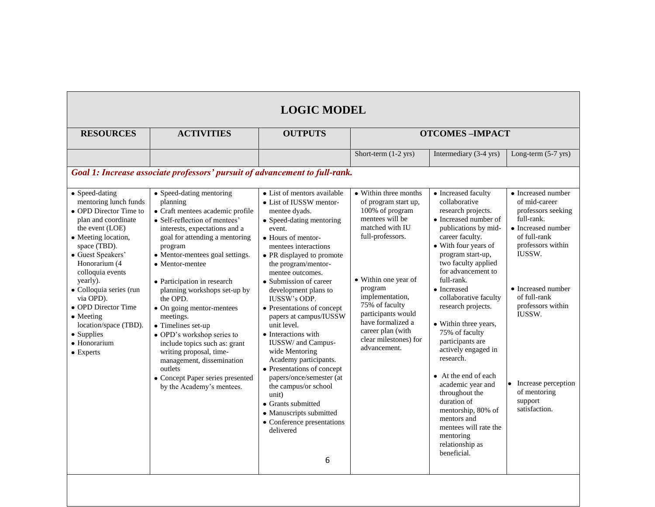# **LOGIC MODEL**

| <b>RESOURCES</b>                                                                                                                                                                                                                                                                                                                                                                 | <b>ACTIVITIES</b>                                                                                                                                                                                                                                                                                                                                                                                                                                                                                                                                                                           | <b>OUTPUTS</b>                                                                                                                                                                                                                                                                                                                                                                                                                                                                                                                                                                                                                                                          | <b>OTCOMES-IMPACT</b>                                                                                                                                                                                                                                                                                       |                                                                                                                                                                                                                                                                                                                                                                                                                                                                                                                                                                                                    |                                                                                                                                                                                                                                                                                      |  |  |  |
|----------------------------------------------------------------------------------------------------------------------------------------------------------------------------------------------------------------------------------------------------------------------------------------------------------------------------------------------------------------------------------|---------------------------------------------------------------------------------------------------------------------------------------------------------------------------------------------------------------------------------------------------------------------------------------------------------------------------------------------------------------------------------------------------------------------------------------------------------------------------------------------------------------------------------------------------------------------------------------------|-------------------------------------------------------------------------------------------------------------------------------------------------------------------------------------------------------------------------------------------------------------------------------------------------------------------------------------------------------------------------------------------------------------------------------------------------------------------------------------------------------------------------------------------------------------------------------------------------------------------------------------------------------------------------|-------------------------------------------------------------------------------------------------------------------------------------------------------------------------------------------------------------------------------------------------------------------------------------------------------------|----------------------------------------------------------------------------------------------------------------------------------------------------------------------------------------------------------------------------------------------------------------------------------------------------------------------------------------------------------------------------------------------------------------------------------------------------------------------------------------------------------------------------------------------------------------------------------------------------|--------------------------------------------------------------------------------------------------------------------------------------------------------------------------------------------------------------------------------------------------------------------------------------|--|--|--|
|                                                                                                                                                                                                                                                                                                                                                                                  |                                                                                                                                                                                                                                                                                                                                                                                                                                                                                                                                                                                             |                                                                                                                                                                                                                                                                                                                                                                                                                                                                                                                                                                                                                                                                         | Short-term $(1-2$ yrs)                                                                                                                                                                                                                                                                                      | Intermediary (3-4 yrs)                                                                                                                                                                                                                                                                                                                                                                                                                                                                                                                                                                             | Long-term $(5-7 \text{ yrs})$                                                                                                                                                                                                                                                        |  |  |  |
| Goal 1: Increase associate professors' pursuit of advancement to full-rank.                                                                                                                                                                                                                                                                                                      |                                                                                                                                                                                                                                                                                                                                                                                                                                                                                                                                                                                             |                                                                                                                                                                                                                                                                                                                                                                                                                                                                                                                                                                                                                                                                         |                                                                                                                                                                                                                                                                                                             |                                                                                                                                                                                                                                                                                                                                                                                                                                                                                                                                                                                                    |                                                                                                                                                                                                                                                                                      |  |  |  |
| • Speed-dating<br>mentoring lunch funds<br>• OPD Director Time to<br>plan and coordinate<br>the event (LOE)<br>• Meeting location,<br>space (TBD).<br>• Guest Speakers'<br>Honorarium (4<br>colloquia events<br>yearly).<br>· Colloquia series (run<br>via OPD).<br>• OPD Director Time<br>$\bullet$ Meeting<br>location/space (TBD).<br>• Supplies<br>• Honorarium<br>• Experts | • Speed-dating mentoring<br>planning<br>• Craft mentees academic profile<br>• Self-reflection of mentees'<br>interests, expectations and a<br>goal for attending a mentoring<br>program<br>• Mentor-mentees goal settings.<br>• Mentor-mentee<br>• Participation in research<br>planning workshops set-up by<br>the OPD.<br>• On going mentor-mentees<br>meetings.<br>• Timelines set-up<br>• OPD's workshop series to<br>include topics such as: grant<br>writing proposal, time-<br>management, dissemination<br>outlets<br>• Concept Paper series presented<br>by the Academy's mentees. | • List of mentors available<br>• List of IUSSW mentor-<br>mentee dyads.<br>• Speed-dating mentoring<br>event.<br>• Hours of mentor-<br>mentees interactions<br>• PR displayed to promote<br>the program/mentor-<br>mentee outcomes.<br>• Submission of career<br>development plans to<br><b>IUSSW's ODP.</b><br>• Presentations of concept<br>papers at campus/IUSSW<br>unit level.<br>• Interactions with<br>IUSSW/ and Campus-<br>wide Mentoring<br>Academy participants.<br>• Presentations of concept<br>papers/once/semester (at<br>the campus/or school<br>unit)<br>• Grants submitted<br>• Manuscripts submitted<br>• Conference presentations<br>delivered<br>6 | • Within three months<br>of program start up,<br>100% of program<br>mentees will be<br>matched with IU<br>full-professors.<br>• Within one year of<br>program<br>implementation,<br>75% of faculty<br>participants would<br>have formalized a<br>career plan (with<br>clear milestones) for<br>advancement. | • Increased faculty<br>collaborative<br>research projects.<br>• Increased number of<br>publications by mid-<br>career faculty.<br>• With four years of<br>program start-up,<br>two faculty applied<br>for advancement to<br>full-rank.<br>• Increased<br>collaborative faculty<br>research projects.<br>• Within three years,<br>75% of faculty<br>participants are<br>actively engaged in<br>research.<br>• At the end of each<br>academic year and<br>throughout the<br>duration of<br>mentorship, 80% of<br>mentors and<br>mentees will rate the<br>mentoring<br>relationship as<br>beneficial. | • Increased number<br>of mid-career<br>professors seeking<br>full-rank.<br>• Increased number<br>of full-rank<br>professors within<br>IUSSW.<br>• Increased number<br>of full-rank<br>professors within<br>IUSSW.<br>Increase perception<br>of mentoring<br>support<br>satisfaction. |  |  |  |
|                                                                                                                                                                                                                                                                                                                                                                                  |                                                                                                                                                                                                                                                                                                                                                                                                                                                                                                                                                                                             |                                                                                                                                                                                                                                                                                                                                                                                                                                                                                                                                                                                                                                                                         |                                                                                                                                                                                                                                                                                                             |                                                                                                                                                                                                                                                                                                                                                                                                                                                                                                                                                                                                    |                                                                                                                                                                                                                                                                                      |  |  |  |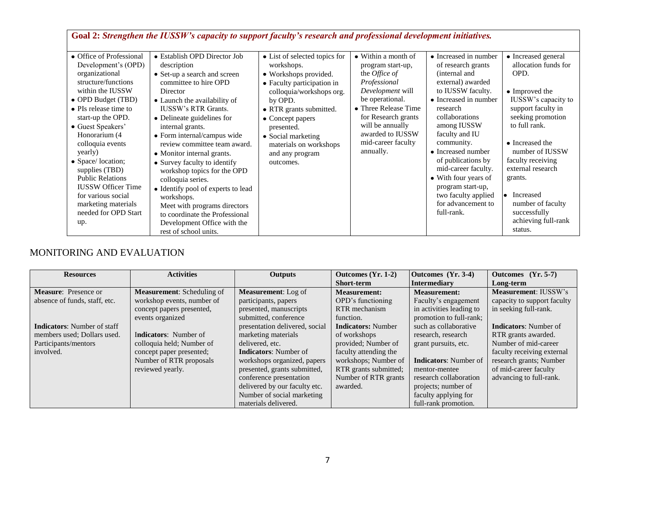|                                                                                                                                                                                                                                                                                                                                                                                                                                  | Goal 2: Strengthen the IUSSW's capacity to support faculty's research and professional development initiatives.                                                                                                                                                                                                                                                                                                                                                                                                                                                                                 |                                                                                                                                                                                                                                                                                        |                                                                                                                                                                                                                                                   |                                                                                                                                                                                                                                                                                                                                                                                         |                                                                                                                                                                                                                                                                                                                                           |
|----------------------------------------------------------------------------------------------------------------------------------------------------------------------------------------------------------------------------------------------------------------------------------------------------------------------------------------------------------------------------------------------------------------------------------|-------------------------------------------------------------------------------------------------------------------------------------------------------------------------------------------------------------------------------------------------------------------------------------------------------------------------------------------------------------------------------------------------------------------------------------------------------------------------------------------------------------------------------------------------------------------------------------------------|----------------------------------------------------------------------------------------------------------------------------------------------------------------------------------------------------------------------------------------------------------------------------------------|---------------------------------------------------------------------------------------------------------------------------------------------------------------------------------------------------------------------------------------------------|-----------------------------------------------------------------------------------------------------------------------------------------------------------------------------------------------------------------------------------------------------------------------------------------------------------------------------------------------------------------------------------------|-------------------------------------------------------------------------------------------------------------------------------------------------------------------------------------------------------------------------------------------------------------------------------------------------------------------------------------------|
| • Office of Professional<br>Development's (OPD)<br>organizational<br>structure/functions<br>within the IUSSW<br>• OPD Budget (TBD)<br>• PIs release time to<br>start-up the OPD.<br>• Guest Speakers'<br>Honorarium (4<br>colloquia events<br>yearly)<br>• Space/location;<br>supplies (TBD)<br><b>Public Relations</b><br><b>IUSSW Officer Time</b><br>for various social<br>marketing materials<br>needed for OPD Start<br>up. | • Establish OPD Director Job<br>description<br>• Set-up a search and screen<br>committee to hire OPD<br>Director<br>• Launch the availability of<br><b>IUSSW's RTR Grants.</b><br>• Delineate guidelines for<br>internal grants.<br>• Form internal/campus wide<br>review committee team award.<br>• Monitor internal grants.<br>• Survey faculty to identify<br>workshop topics for the OPD<br>colloquia series.<br>• Identify pool of experts to lead<br>workshops.<br>Meet with programs directors<br>to coordinate the Professional<br>Development Office with the<br>rest of school units. | • List of selected topics for<br>workshops.<br>• Workshops provided.<br>• Faculty participation in<br>colloquia/workshops org.<br>by OPD.<br>• RTR grants submitted.<br>• Concept papers<br>presented.<br>• Social marketing<br>materials on workshops<br>and any program<br>outcomes. | • Within a month of<br>program start-up,<br>the <i>Office</i> of<br>Professional<br>Development will<br>be operational.<br>• Three Release Time<br>for Research grants<br>will be annually<br>awarded to IUSSW<br>mid-career faculty<br>annually. | • Increased in number<br>of research grants<br>(internal and<br>external) awarded<br>to IUSSW faculty.<br>• Increased in number<br>research<br>collaborations<br>among IUSSW<br>faculty and IU<br>community.<br>• Increased number<br>of publications by<br>mid-career faculty.<br>• With four years of<br>program start-up,<br>two faculty applied<br>for advancement to<br>full-rank. | • Increased general<br>allocation funds for<br>OPD.<br>• Improved the<br>IUSSW's capacity to<br>support faculty in<br>seeking promotion<br>to full rank.<br>• Increased the<br>number of IUSSW<br>faculty receiving<br>external research<br>grants.<br>• Increased<br>number of faculty<br>successfully<br>achieving full-rank<br>status. |

# MONITORING AND EVALUATION

| <b>Resources</b>                   | <b>Activities</b>                 | <b>Outputs</b>                 | Outcomes (Yr. 1-2)        | Outcomes (Yr. 3-4)           | Outcomes (Yr. 5-7)           |  |
|------------------------------------|-----------------------------------|--------------------------------|---------------------------|------------------------------|------------------------------|--|
|                                    |                                   |                                | Short-term                | <b>Intermediary</b>          | Long-term                    |  |
| <b>Measure:</b> Presence or        | <b>Measurement:</b> Scheduling of | <b>Measurement:</b> Log of     | <b>Measurement:</b>       | <b>Measurement:</b>          | <b>Measurement: IUSSW's</b>  |  |
| absence of funds, staff, etc.      | workshop events, number of        | participants, papers           | OPD's functioning         | Faculty's engagement         | capacity to support faculty  |  |
|                                    | concept papers presented,         | presented, manuscripts         | RTR mechanism             | in activities leading to     | in seeking full-rank.        |  |
|                                    | events organized                  | submitted, conference          | function.                 | promotion to full-rank;      |                              |  |
| <b>Indicators:</b> Number of staff |                                   | presentation delivered, social | <b>Indicators:</b> Number | such as collaborative        | <b>Indicators:</b> Number of |  |
| members used; Dollars used.        | <b>Indicators:</b> Number of      | marketing materials            | of workshops              | research, research           | RTR grants awarded.          |  |
| Participants/mentors               | colloquia held; Number of         | delivered, etc.                | provided; Number of       | grant pursuits, etc.         | Number of mid-career         |  |
| involved.                          | concept paper presented;          | <b>Indicators:</b> Number of   | faculty attending the     |                              | faculty receiving external   |  |
|                                    | Number of RTR proposals           | workshops organized, papers    | workshops; Number of      | <b>Indicators:</b> Number of | research grants; Number      |  |
|                                    | reviewed yearly.                  | presented, grants submitted,   | RTR grants submitted;     | mentor-mentee                | of mid-career faculty        |  |
|                                    |                                   | conference presentation        | Number of RTR grants      | research collaboration       | advancing to full-rank.      |  |
|                                    |                                   | delivered by our faculty etc.  | awarded.                  | projects; number of          |                              |  |
|                                    |                                   | Number of social marketing     |                           | faculty applying for         |                              |  |
|                                    |                                   | materials delivered.           |                           | full-rank promotion.         |                              |  |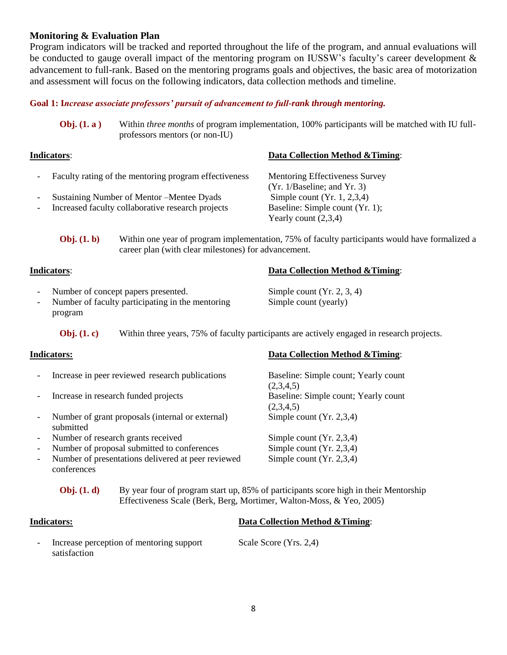### **Monitoring & Evaluation Plan**

Program indicators will be tracked and reported throughout the life of the program, and annual evaluations will be conducted to gauge overall impact of the mentoring program on IUSSW's faculty's career development & advancement to full-rank. Based on the mentoring programs goals and objectives, the basic area of motorization and assessment will focus on the following indicators, data collection methods and timeline.

#### **Goal 1: I***ncrease associate professors' pursuit of advancement to full-rank through mentoring.*

**Obj. (1. a)** Within *three months* of program implementation, 100% participants will be matched with IU fullprofessors mentors (or non-IU)

# **Indicators**: **Data Collection Method &Timing**: - Faculty rating of the mentoring program effectiveness Mentoring Effectiveness Survey (Yr. 1/Baseline; and Yr. 3) - Sustaining Number of Mentor –Mentee Dyads Simple count (Yr. 1, 2,3,4) Increased faculty collaborative research projects Baseline: Simple count (Yr. 1); Yearly count (2,3,4)

**Obj. (1. b)** Within one year of program implementation, 75% of faculty participants would have formalized a career plan (with clear milestones) for advancement.

#### **Indicators**: **Data Collection Method &Timing**:

- Number of concept papers presented. Simple count (Yr. 2, 3, 4)
- Number of faculty participating in the mentoring Simple count (yearly) program

**Obj. (1. c)** Within three years, 75% of faculty participants are actively engaged in research projects.

- Increase in peer reviewed research publications Baseline: Simple count; Yearly count
- Increase in research funded projects Baseline: Simple count; Yearly count
- Number of grant proposals (internal or external) Simple count (Yr. 2,3,4) submitted
- Number of research grants received Simple count (Yr. 2,3,4)
- Number of proposal submitted to conferences Simple count (Yr. 2,3,4)
- Number of presentations delivered at peer reviewed Simple count (Yr. 2,3,4) conferences

#### **Indicators: Data Collection Method &Timing**:

 $(2,3,4,5)$  $(2,3,4,5)$ 

**Obj.** (1. d) By year four of program start up, 85% of participants score high in their Mentorship Effectiveness Scale (Berk, Berg, Mortimer, Walton-Moss, & Yeo, 2005)

# **Indicators: Data Collection Method &Timing**:

- Increase perception of mentoring support Scale Score (Yrs. 2,4) satisfaction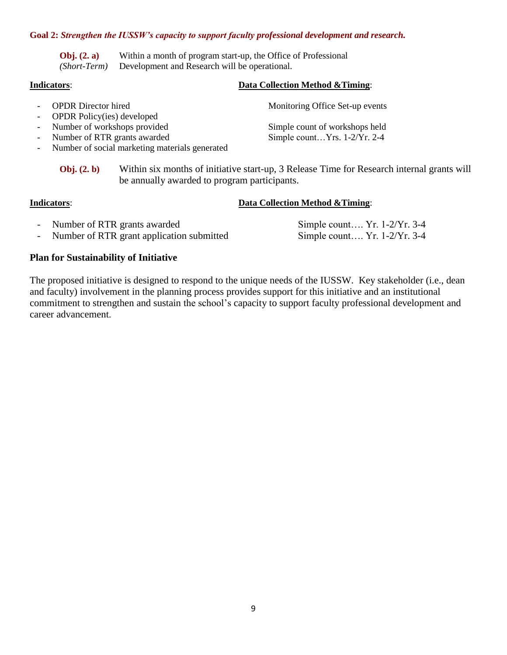#### **Goal 2:** *Strengthen the IUSSW's capacity to support faculty professional development and research.*

**Obj. (2. a)** Within a month of program start-up, the Office of Professional *(Short-Term)* Development and Research will be operational.

#### **Indicators**: **Data Collection Method &Timing**:

- 
- OPDR Policy(ies) developed
- 
- Number of RTR grants awarded
- Number of social marketing materials generated

- OPDR Director hired Monitoring Office Set-up events

- Number of workshops provided<br>
- Number of RTR grants awarded<br>
Simple count ...Yrs. 1-2/Yr. 2-4

**Obj. (2. b)** Within six months of initiative start-up, 3 Release Time for Research internal grants will be annually awarded to program participants.

#### **Indicators**: **Data Collection Method &Timing**:

- Number of RTR grants awarded Simple count.... Yr. 1-2/Yr. 3-4
- Number of RTR grant application submitted Simple count.... Yr. 1-2/Yr. 3-4

### **Plan for Sustainability of Initiative**

The proposed initiative is designed to respond to the unique needs of the IUSSW. Key stakeholder (i.e., dean and faculty) involvement in the planning process provides support for this initiative and an institutional commitment to strengthen and sustain the school's capacity to support faculty professional development and career advancement.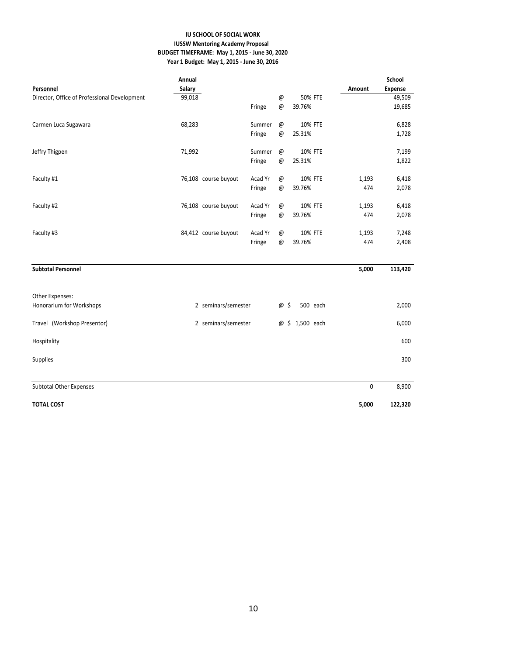#### **IU SCHOOL OF SOCIAL WORK IUSSW Mentoring Academy Proposal BUDGET TIMEFRAME: May 1, 2015 - June 30, 2020 Year 1 Budget: May 1, 2015 - June 30, 2016**

|                                              | Annual |                      |         |                 |                 |        | School         |
|----------------------------------------------|--------|----------------------|---------|-----------------|-----------------|--------|----------------|
| Personnel                                    | Salary |                      |         |                 |                 | Amount | <b>Expense</b> |
| Director, Office of Professional Development | 99,018 |                      |         | $^\copyright$   | <b>50% FTE</b>  |        | 49,509         |
|                                              |        |                      | Fringe  | $^{\copyright}$ | 39.76%          |        | 19,685         |
| Carmen Luca Sugawara                         | 68,283 |                      | Summer  | $^{\copyright}$ | 10% FTE         |        | 6,828          |
|                                              |        |                      | Fringe  | $^{\copyright}$ | 25.31%          |        | 1,728          |
| Jeffry Thigpen                               | 71,992 |                      | Summer  | $^{\copyright}$ | 10% FTE         |        | 7,199          |
|                                              |        |                      | Fringe  | $^{\copyright}$ | 25.31%          |        | 1,822          |
| Faculty #1                                   |        | 76,108 course buyout | Acad Yr | $^{\copyright}$ | 10% FTE         | 1,193  | 6,418          |
|                                              |        |                      | Fringe  | $^{\copyright}$ | 39.76%          | 474    | 2,078          |
| Faculty #2                                   |        | 76,108 course buyout | Acad Yr | $^{\copyright}$ | 10% FTE         | 1,193  | 6,418          |
|                                              |        |                      | Fringe  | $^{\copyright}$ | 39.76%          | 474    | 2,078          |
| Faculty #3                                   |        | 84,412 course buyout | Acad Yr | $^{\copyright}$ | 10% FTE         | 1,193  | 7,248          |
|                                              |        |                      | Fringe  | $^{\copyright}$ | 39.76%          | 474    | 2,408          |
| <b>Subtotal Personnel</b>                    |        |                      |         |                 |                 | 5,000  | 113,420        |
| Other Expenses:                              |        |                      |         |                 |                 |        |                |
| Honorarium for Workshops                     |        | 2 seminars/semester  |         | @ \$            | 500 each        |        | 2,000          |
| Travel (Workshop Presentor)                  |        | 2 seminars/semester  |         |                 | @ \$ 1,500 each |        | 6,000          |
| Hospitality                                  |        |                      |         |                 |                 |        | 600            |
| <b>Supplies</b>                              |        |                      |         |                 |                 |        | 300            |
|                                              |        |                      |         |                 |                 |        |                |
| <b>Subtotal Other Expenses</b>               |        |                      |         |                 |                 | 0      | 8,900          |
| <b>TOTAL COST</b>                            |        |                      |         |                 |                 | 5,000  | 122,320        |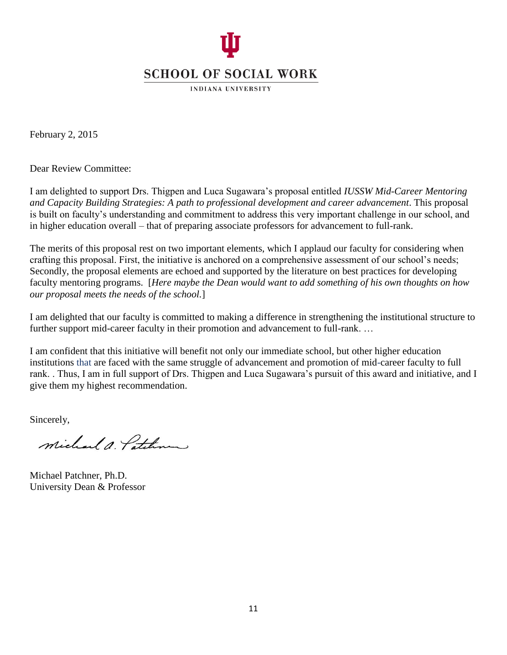

**INDIANA UNIVERSITY** 

February 2, 2015

Dear Review Committee:

I am delighted to support Drs. Thigpen and Luca Sugawara's proposal entitled *IUSSW Mid-Career Mentoring and Capacity Building Strategies: A path to professional development and career advancement*. This proposal is built on faculty's understanding and commitment to address this very important challenge in our school, and in higher education overall – that of preparing associate professors for advancement to full-rank.

The merits of this proposal rest on two important elements, which I applaud our faculty for considering when crafting this proposal. First, the initiative is anchored on a comprehensive assessment of our school's needs; Secondly, the proposal elements are echoed and supported by the literature on best practices for developing faculty mentoring programs. [*Here maybe the Dean would want to add something of his own thoughts on how our proposal meets the needs of the school.*]

I am delighted that our faculty is committed to making a difference in strengthening the institutional structure to further support mid-career faculty in their promotion and advancement to full-rank. ...

I am confident that this initiative will benefit not only our immediate school, but other higher education institutions that are faced with the same struggle of advancement and promotion of mid-career faculty to full rank. . Thus, I am in full support of Drs. Thigpen and Luca Sugawara's pursuit of this award and initiative, and I give them my highest recommendation.

Sincerely,

Michael A Poten

Michael Patchner, Ph.D. University Dean & Professor